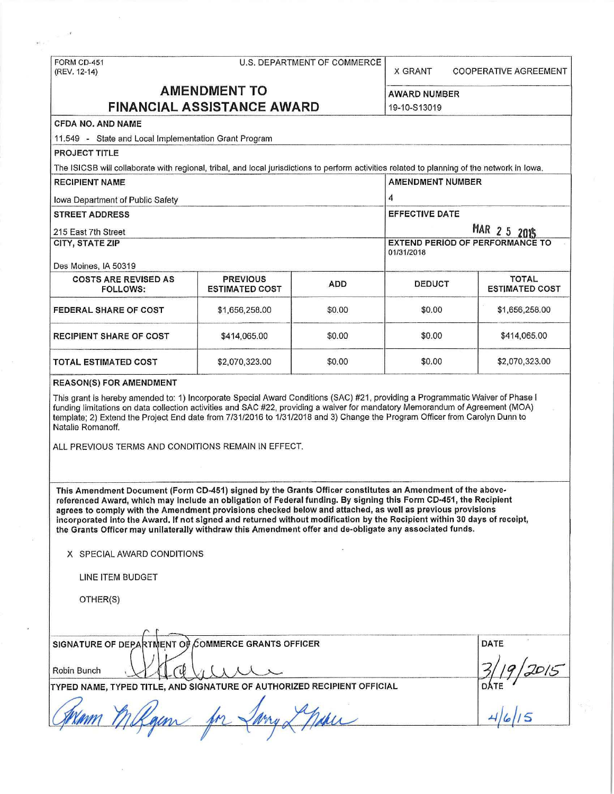| FORM CD-451<br>(REV. 12-14)                                                                                                                                                                                                                                                                                                                                                                                                                                                                                                                                                                                     | U.S. DEPARTMENT OF COMMERCE                              |            |                                                      | <b>COOPERATIVE AGREEMENT</b> |  |  |
|-----------------------------------------------------------------------------------------------------------------------------------------------------------------------------------------------------------------------------------------------------------------------------------------------------------------------------------------------------------------------------------------------------------------------------------------------------------------------------------------------------------------------------------------------------------------------------------------------------------------|----------------------------------------------------------|------------|------------------------------------------------------|------------------------------|--|--|
|                                                                                                                                                                                                                                                                                                                                                                                                                                                                                                                                                                                                                 | <b>AMENDMENT TO</b><br><b>FINANCIAL ASSISTANCE AWARD</b> |            | <b>AWARD NUMBER</b><br>19-10-S13019                  |                              |  |  |
| <b>CFDA NO. AND NAME</b>                                                                                                                                                                                                                                                                                                                                                                                                                                                                                                                                                                                        |                                                          |            |                                                      |                              |  |  |
| 11,549 - State and Local Implementation Grant Program                                                                                                                                                                                                                                                                                                                                                                                                                                                                                                                                                           |                                                          |            |                                                      |                              |  |  |
| <b>PROJECT TITLE</b>                                                                                                                                                                                                                                                                                                                                                                                                                                                                                                                                                                                            |                                                          |            |                                                      |                              |  |  |
| The ISICSB will collaborate with regional, tribal, and local jurisdictions to perform activities related to planning of the network in lowa.                                                                                                                                                                                                                                                                                                                                                                                                                                                                    |                                                          |            |                                                      |                              |  |  |
| <b>RECIPIENT NAME</b>                                                                                                                                                                                                                                                                                                                                                                                                                                                                                                                                                                                           |                                                          |            | <b>AMENDMENT NUMBER</b>                              |                              |  |  |
| <b>Iowa Department of Public Safety</b>                                                                                                                                                                                                                                                                                                                                                                                                                                                                                                                                                                         |                                                          |            | 4                                                    |                              |  |  |
| <b>STREET ADDRESS</b>                                                                                                                                                                                                                                                                                                                                                                                                                                                                                                                                                                                           |                                                          |            | <b>EFFECTIVE DATE</b>                                |                              |  |  |
| 215 East 7th Street                                                                                                                                                                                                                                                                                                                                                                                                                                                                                                                                                                                             |                                                          |            | MAR 2 5 2015                                         |                              |  |  |
| <b>CITY, STATE ZIP</b>                                                                                                                                                                                                                                                                                                                                                                                                                                                                                                                                                                                          |                                                          |            | <b>EXTEND PERIOD OF PERFORMANCE TO</b><br>01/31/2018 |                              |  |  |
| Des Moines, IA 50319<br><b>COSTS ARE REVISED AS</b>                                                                                                                                                                                                                                                                                                                                                                                                                                                                                                                                                             | <b>PREVIOUS</b>                                          |            |                                                      | <b>TOTAL</b>                 |  |  |
| <b>FOLLOWS:</b>                                                                                                                                                                                                                                                                                                                                                                                                                                                                                                                                                                                                 | <b>ESTIMATED COST</b>                                    | <b>ADD</b> | <b>DEDUCT</b>                                        | <b>ESTIMATED COST</b>        |  |  |
| <b>FEDERAL SHARE OF COST</b>                                                                                                                                                                                                                                                                                                                                                                                                                                                                                                                                                                                    | \$1,656,258.00                                           | \$0.00     | \$0.00                                               | \$1,656,258.00               |  |  |
| <b>RECIPIENT SHARE OF COST</b>                                                                                                                                                                                                                                                                                                                                                                                                                                                                                                                                                                                  | \$414,065.00                                             | \$0.00     | \$0.00                                               | \$414,065.00                 |  |  |
| <b>TOTAL ESTIMATED COST</b>                                                                                                                                                                                                                                                                                                                                                                                                                                                                                                                                                                                     | \$2,070,323.00                                           | \$0.00     | \$0.00                                               | \$2,070,323.00               |  |  |
| template; 2) Extend the Project End date from 7/31/2016 to 1/31/2018 and 3) Change the Program Officer from Carolyn Dunn to<br>Natalie Romanoff.<br>ALL PREVIOUS TERMS AND CONDITIONS REMAIN IN EFFECT.                                                                                                                                                                                                                                                                                                                                                                                                         |                                                          |            |                                                      |                              |  |  |
| This Amendment Document (Form CD-451) signed by the Grants Officer constitutes an Amendment of the above-<br>referenced Award, which may include an obligation of Federal funding. By signing this Form CD-451, the Recipient<br>agrees to comply with the Amendment provisions checked below and attached, as well as previous provisions<br>incorporated into the Award. If not signed and returned without modification by the Recipient within 30 days of receipt,<br>the Grants Officer may unilaterally withdraw this Amendment offer and de-obligate any associated funds.<br>X SPECIAL AWARD CONDITIONS |                                                          |            |                                                      |                              |  |  |
| <b>LINE ITEM BUDGET</b>                                                                                                                                                                                                                                                                                                                                                                                                                                                                                                                                                                                         |                                                          |            |                                                      |                              |  |  |
| OTHER(S)                                                                                                                                                                                                                                                                                                                                                                                                                                                                                                                                                                                                        |                                                          |            |                                                      |                              |  |  |
|                                                                                                                                                                                                                                                                                                                                                                                                                                                                                                                                                                                                                 |                                                          |            |                                                      |                              |  |  |
| SIGNATURE OF DEPARTMENT OF COMMERCE GRANTS OFFICER<br>Robin Bunch                                                                                                                                                                                                                                                                                                                                                                                                                                                                                                                                               | <b>DATE</b>                                              |            |                                                      |                              |  |  |
| TYPED NAME, TYPED TITLE, AND SIGNATURE OF AUTHORIZED RECIPIENT OFFICIAL                                                                                                                                                                                                                                                                                                                                                                                                                                                                                                                                         |                                                          |            |                                                      |                              |  |  |

 $\sim$  10

 $\sim 10^6$ 

 $\mu(\cdot,\cdot)^\top$ 

 $\gamma$ 

s,

 $\bar{z}$